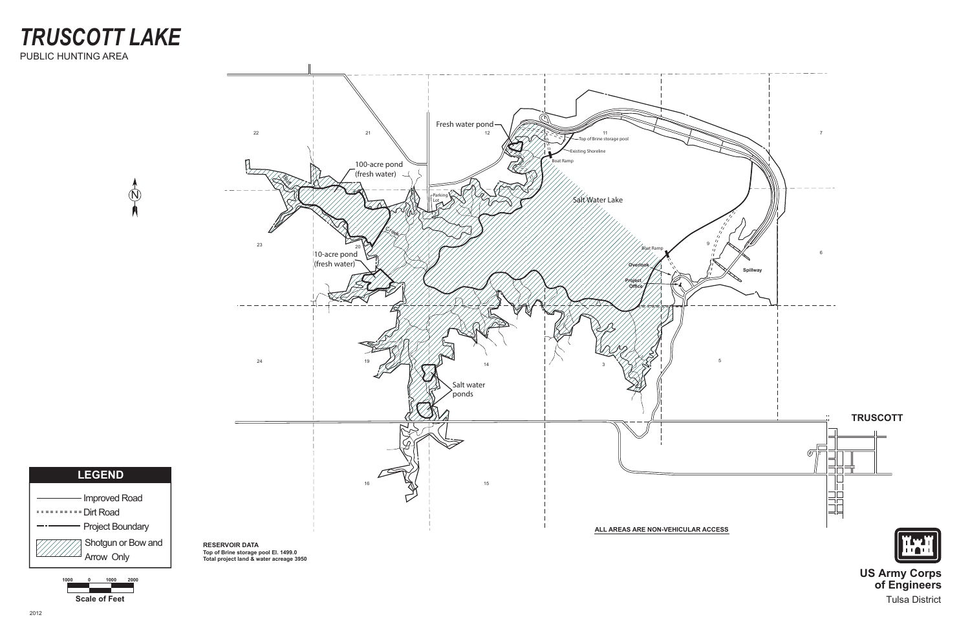Tulsa District

# *TRUSCOTT LAKE* PUBLIC HUNTING AREA

 $\mathcal{N}$ 



**Scale of Feet 1000 0 1000 2000**